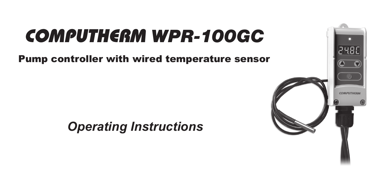# COMPUTHERM *WPR-100GC*

Pump controller with wired temperature sensor

 *Operating Instructions*

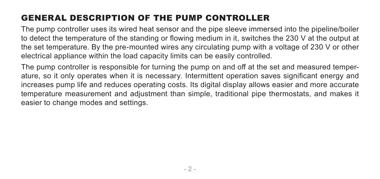## GENERAL DESCRIPTION OF THE PUMP CONTROLLER

The pump controller uses its wired heat sensor and the pipe sleeve immersed into the pipeline/boiler to detect the temperature of the standing or flowing medium in it, switches the 230 V at the output at the set temperature. By the pre-mounted wires any circulating pump with a voltage of 230 V or other electrical appliance within the load capacity limits can be easily controlled.

The pump controller is responsible for turning the pump on and off at the set and measured temperature, so it only operates when it is necessary. Intermittent operation saves significant energy and increases pump life and reduces operating costs. Its digital display allows easier and more accurate temperature measurement and adjustment than simple, traditional pipe thermostats, and makes it easier to change modes and settings.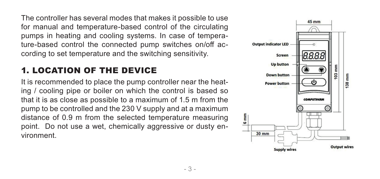The controller has several modes that makes it possible to use for manual and temperature-based control of the circulating pumps in heating and cooling systems. In case of temperature-based control the connected pump switches on/off according to set temperature and the switching sensitivity.

### 1. LOCATION OF THE DEVICE

It is recommended to place the pump controller near the heating / cooling pipe or boiler on which the control is based so that it is as close as possible to a maximum of 1.5 m from the pump to be controlled and the 230 V supply and at a maximum distance of 0.9 m from the selected temperature measuring point. Do not use a wet, chemically aggressive or dusty environment.

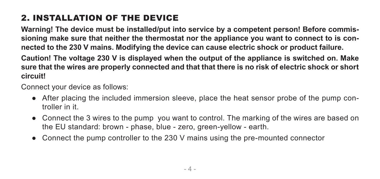## 2. INSTALLATION OF THE DEVICE

**Warning! The device must be installed/put into service by a competent person! Before commissioning make sure that neither the thermostat nor the appliance you want to connect to is connected to the 230 V mains. Modifying the device can cause electric shock or product failure.**

**Caution! The voltage 230 V is displayed when the output of the appliance is switched on. Make sure that the wires are properly connected and that that there is no risk of electric shock or short circuit!**

Connect your device as follows:

- After placing the included immersion sleeve, place the heat sensor probe of the pump controller in it.
- Connect the 3 wires to the pump you want to control. The marking of the wires are based on the EU standard: brown - phase, blue - zero, green-yellow - earth.
- Connect the pump controller to the 230 V mains using the pre-mounted connector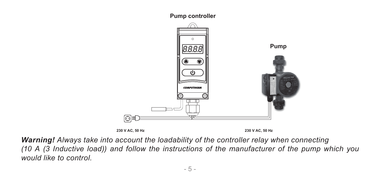**Pump controller** 



*Warning! Always take into account the loadability of the controller relay when connecting (10 A (3 Inductive load)) and follow the instructions of the manufacturer of the pump which you would like to control.*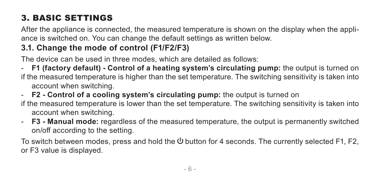## 3. BASIC SETTINGS

After the appliance is connected, the measured temperature is shown on the display when the appliance is switched on. You can change the default settings as written below.

### **3.1. Change the mode of control (F1/F2/F3)**

The device can be used in three modes, which are detailed as follows:

- **F1 (factory default) - Control of a heating system's circulating pump:** the output is turned on if the measured temperature is higher than the set temperature. The switching sensitivity is taken into account when switching.

- **F2 - Control of a cooling system's circulating pump:** the output is turned on if the measured temperature is lower than the set temperature. The switching sensitivity is taken into account when switching.

- **F3 - Manual mode:** regardless of the measured temperature, the output is permanently switched on/off according to the setting.

To switch between modes, press and hold the  $\bigcup$  button for 4 seconds. The currently selected F1, F2, or F3 value is displayed.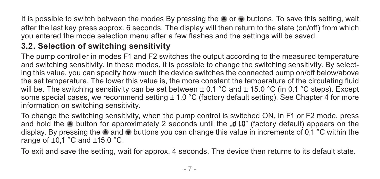It is possible to switch between the modes By pressing the  $\triangle$  or  $\triangledown$  buttons. To save this setting, wait after the last key press approx. 6 seconds. The display will then return to the state (on/off) from which you entered the mode selection menu after a few flashes and the settings will be saved.

#### **3.2. Selection of switching sensitivity**

The pump controller in modes F1 and F2 switches the output according to the measured temperature and switching sensitivity. In these modes, it is possible to change the switching sensitivity. By selecting this value, you can specify how much the device switches the connected pump on/off below/above the set temperature. The lower this value is, the more constant the temperature of the circulating fluid will be. The switching sensitivity can be set between  $\pm$  0.1 °C and  $\pm$  15.0 °C (in 0.1 °C steps). Except some special cases, we recommend setting  $\pm$  1.0 °C (factory default setting). See Chapter 4 for more information on switching sensitivity.

To change the switching sensitivity, when the pump control is switched ON, in F1 or F2 mode, press and hold the  $\bullet$  button for approximately 2 seconds until the  $\bullet$  *d*.0" (factory default) appears on the display. By pressing the  $\bullet$  and  $\bullet$  buttons you can change this value in increments of 0.1 °C within the range of  $\pm 0.1$  °C and  $\pm 15.0$  °C.

To exit and save the setting, wait for approx. 4 seconds. The device then returns to its default state.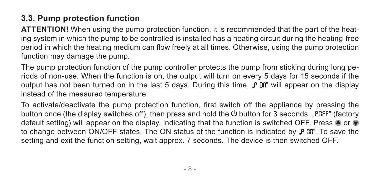#### **3.3. Pump protection function**

**ATTENTION!** When using the pump protection function, it is recommended that the part of the heating system in which the pump to be controlled is installed has a heating circuit during the heating-free period in which the heating medium can flow freely at all times. Otherwise, using the pump protection function may damage the pump.

The pump protection function of the pump controller protects the pump from sticking during long periods of non-use. When the function is on, the output will turn on every 5 days for 15 seconds if the output has not been turned on in the last 5 days. During this time, "P 0;" will appear on the display instead of the measured temperature.

To activate/deactivate the pump protection function, first switch off the appliance by pressing the button once (the display switches off), then press and hold the button for 3 seconds. "*POFF*" (factory default setting) will appear on the display, indicating that the function is switched OFF. Press  $\bullet$  or  $\bullet$ to change between ON/OFF states. The ON status of the function is indicated by ".P Cn". To save the setting and exit the function setting, wait approx. 7 seconds. The device is then switched OFF.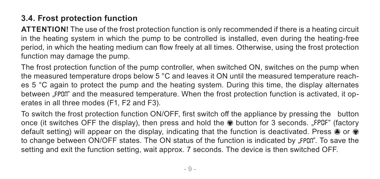#### **3.4. Frost protection function**

**ATTENTION!** The use of the frost protection function is only recommended if there is a heating circuit in the heating system in which the pump to be controlled is installed, even during the heating-free period, in which the heating medium can flow freely at all times. Otherwise, using the frost protection function may damage the pump.

The frost protection function of the pump controller, when switched ON, switches on the pump when the measured temperature drops below 5 °C and leaves it ON until the measured temperature reaches 5 °C again to protect the pump and the heating system. During this time, the display alternates between "FPOR" and the measured temperature. When the frost protection function is activated, it operates in all three modes (F1, F2 and F3).

To switch the frost protection function ON/OFF, first switch off the appliance by pressing the button once (it switches OFF the display), then press and hold the button for 3 seconds. "*FPOF*" (factory default setting) will appear on the display, indicating that the function is deactivated. Press  $\bullet$  or  $\bullet$ to change between ON/OFF states. The ON status of the function is indicated by "FPDFI". To save the setting and exit the function setting, wait approx. 7 seconds. The device is then switched OFF.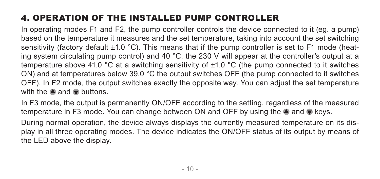## 4. OPERATION OF THE INSTALLED PUMP CONTROLLER

In operating modes F1 and F2, the pump controller controls the device connected to it (eg. a pump) based on the temperature it measures and the set temperature, taking into account the set switching sensitivity (factory default ±1.0 °C). This means that if the pump controller is set to F1 mode (heating system circulating pump control) and 40 °C, the 230 V will appear at the controller's output at a temperature above 41.0 °C at a switching sensitivity of ±1.0 °C (the pump connected to it switches ON) and at temperatures below 39.0 °C the output switches OFF (the pump connected to it switches OFF). In F2 mode, the output switches exactly the opposite way. You can adjust the set temperature with the  $\triangle$  and  $\triangle$  buttons.

In F3 mode, the output is permanently ON/OFF according to the setting, regardless of the measured temperature in F3 mode. You can change between ON and OFF by using the  $\triangle$  and  $\triangledown$  keys.

During normal operation, the device always displays the currently measured temperature on its display in all three operating modes. The device indicates the ON/OFF status of its output by means of the LED above the display.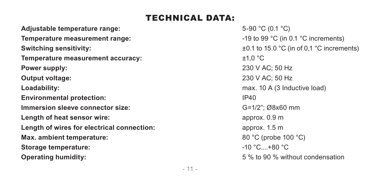### TECHNICAL DATA:

**Adjustable temperature range:**  $5-90^{\circ}C (0.1^{\circ}C)$ **Temperature measurement range:**  $\blacksquare$  **Temperature measurements**) **Switching sensitivity:**  $\pm 0.1$  to 15.0 °C (in of 0,1 °C increments) **Temperature measurement accuracy:**  $\qquad 2^+1,0^{\circ}C$ **Power supply:** 230 V AC; 50 Hz **Output voltage:** 230 V AC; 50 Hz **Loadability: Compared Loadability: compared Loadability: compared Loadability: max.** 10 A (3 Inductive load) **Environmental protection:** IP40 **Immersion sleeve connector size:**  $G=1/2$ "; Ø8x60 mm **Length of heat sensor wire:** approx. 0.9 m **Length of wires for electrical connection: approx.** 1.5 m **Max. ambient temperature:**  $80^{\circ}$ C (probe 100 °C) **Storage temperature:**  $\bullet$  **-10 °C....+80 °C Operating humidity:**  $5\%$  to 90 % without condensation